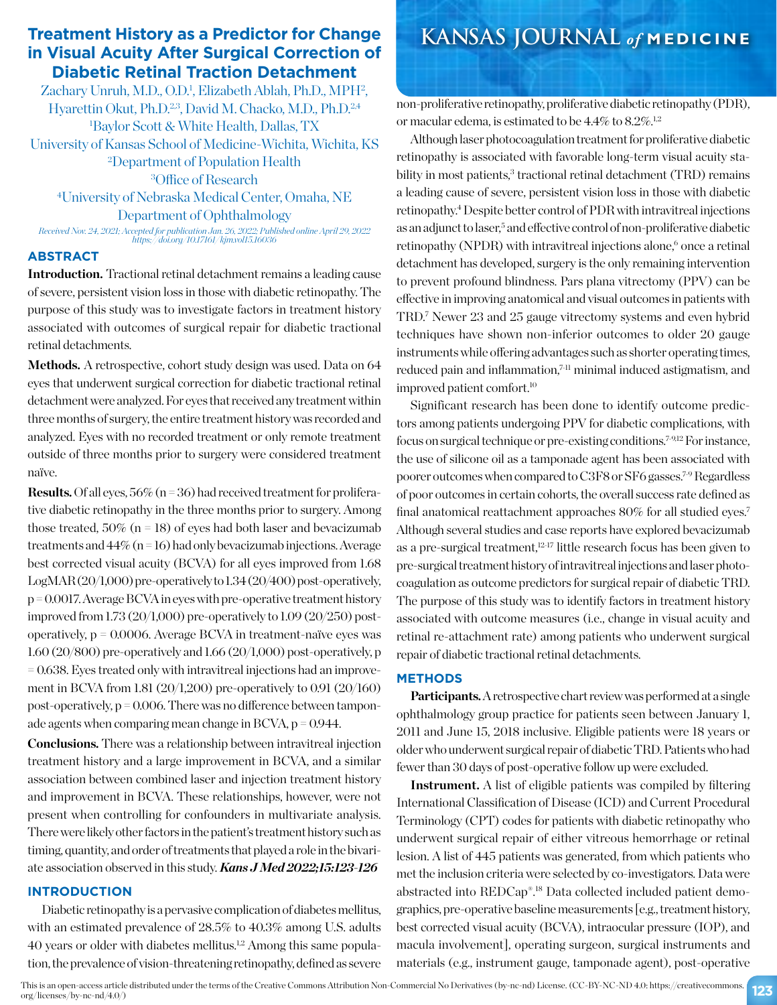# **Treatment History as a Predictor for Change KANSAS JOURNAL** *of* **MEDICINE in Visual Acuity After Surgical Correction of Diabetic Retinal Traction Detachment**

Zachary Unruh, M.D., O.D.<sup>1</sup>, Elizabeth Ablah, Ph.D., MPH<sup>2</sup>, Hyarettin Okut, Ph.D.<sup>2,3</sup>, David M. Chacko, M.D., Ph.D.<sup>2,4</sup> 1 Baylor Scott & White Health, Dallas, TX University of Kansas School of Medicine-Wichita, Wichita, KS 2 Department of Population Health 3 Office of Research 4 University of Nebraska Medical Center, Omaha, NE

Department of Ophthalmology

*Received Nov. 24, 2021; Accepted for publication Jan. 26, 2022; Published online April 29, 2022 https://doi.org/10.17161/kjm.vol15.16036*

#### **ABSTRACT**

**Introduction.** Tractional retinal detachment remains a leading cause of severe, persistent vision loss in those with diabetic retinopathy. The purpose of this study was to investigate factors in treatment history associated with outcomes of surgical repair for diabetic tractional retinal detachments.

Methods. A retrospective, cohort study design was used. Data on 64 eyes that underwent surgical correction for diabetic tractional retinal detachment were analyzed. For eyes that received any treatment within three months of surgery, the entire treatment history was recorded and analyzed. Eyes with no recorded treatment or only remote treatment outside of three months prior to surgery were considered treatment naïve.

**Results.** Of all eyes,  $56\%$  (n = 36) had received treatment for proliferative diabetic retinopathy in the three months prior to surgery. Among those treated,  $50\%$  (n = 18) of eyes had both laser and bevacizumab treatments and  $44\%$  (n = 16) had only bevacizumab injections. Average best corrected visual acuity (BCVA) for all eyes improved from 1.68 LogMAR (20/1,000) pre-operatively to 1.34 (20/400) post-operatively, p = 0.0017. Average BCVA in eyes with pre-operative treatment history improved from 1.73 (20/1,000) pre-operatively to 1.09 (20/250) postoperatively,  $p = 0.0006$ . Average BCVA in treatment-naïve eyes was 1.60 (20/800) pre-operatively and 1.66 (20/1,000) post-operatively, p = 0.638. Eyes treated only with intravitreal injections had an improvement in BCVA from 1.81 (20/1,200) pre-operatively to 0.91 (20/160) post-operatively,  $p = 0.006$ . There was no difference between tamponade agents when comparing mean change in BCVA,  $p = 0.944$ .

**Conclusions.** There was a relationship between intravitreal injection treatment history and a large improvement in BCVA, and a similar association between combined laser and injection treatment history and improvement in BCVA. These relationships, however, were not present when controlling for confounders in multivariate analysis. There were likely other factors in the patient's treatment history such as timing, quantity, and order of treatments that played a role in the bivariate association observed in this study. *Kans J Med 2022;15:123-126*

#### **INTRODUCTION**

Diabetic retinopathy is a pervasive complication of diabetes mellitus, with an estimated prevalence of 28.5% to 40.3% among U.S. adults 40 years or older with diabetes mellitus.1,2 Among this same population, the prevalence of vision-threatening retinopathy, defined as severe

non-proliferative retinopathy, proliferative diabetic retinopathy (PDR), or macular edema, is estimated to be  $4.4\%$  to  $8.2\%.$ <sup>1,2</sup>

Although laser photocoagulation treatment for proliferative diabetic retinopathy is associated with favorable long-term visual acuity stability in most patients,<sup>3</sup> tractional retinal detachment (TRD) remains a leading cause of severe, persistent vision loss in those with diabetic retinopathy.4 Despite better control of PDR with intravitreal injections as an adjunct to laser,<sup>5</sup> and effective control of non-proliferative diabetic retinopathy (NPDR) with intravitreal injections alone,<sup>6</sup> once a retinal detachment has developed, surgery is the only remaining intervention to prevent profound blindness. Pars plana vitrectomy (PPV) can be effective in improving anatomical and visual outcomes in patients with TRD.7 Newer 23 and 25 gauge vitrectomy systems and even hybrid techniques have shown non-inferior outcomes to older 20 gauge instruments while offering advantages such as shorter operating times, reduced pain and inflammation,<sup>7-11</sup> minimal induced astigmatism, and improved patient comfort.10

Significant research has been done to identify outcome predictors among patients undergoing PPV for diabetic complications, with focus on surgical technique or pre-existing conditions.7-9,12 For instance, the use of silicone oil as a tamponade agent has been associated with poorer outcomes when compared to C3F8 or SF6 gasses.7-9 Regardless of poor outcomes in certain cohorts, the overall success rate defined as final anatomical reattachment approaches 80% for all studied eyes.7 Although several studies and case reports have explored bevacizumab as a pre-surgical treatment,12-17 little research focus has been given to pre-surgical treatment history of intravitreal injections and laser photocoagulation as outcome predictors for surgical repair of diabetic TRD. The purpose of this study was to identify factors in treatment history associated with outcome measures (i.e., change in visual acuity and retinal re-attachment rate) among patients who underwent surgical repair of diabetic tractional retinal detachments.

### **METHODS**

**Participants.** A retrospective chart review was performed at a single ophthalmology group practice for patients seen between January 1, 2011 and June 15, 2018 inclusive. Eligible patients were 18 years or older who underwent surgical repair of diabetic TRD. Patients who had fewer than 30 days of post-operative follow up were excluded.

**Instrument.** A list of eligible patients was compiled by filtering International Classification of Disease (ICD) and Current Procedural Terminology (CPT) codes for patients with diabetic retinopathy who underwent surgical repair of either vitreous hemorrhage or retinal lesion. A list of 445 patients was generated, from which patients who met the inclusion criteria were selected by co-investigators. Data were abstracted into REDCap®.18 Data collected included patient demographics, pre-operative baseline measurements [e.g., treatment history, best corrected visual acuity (BCVA), intraocular pressure (IOP), and macula involvement], operating surgeon, surgical instruments and materials (e.g., instrument gauge, tamponade agent), post-operative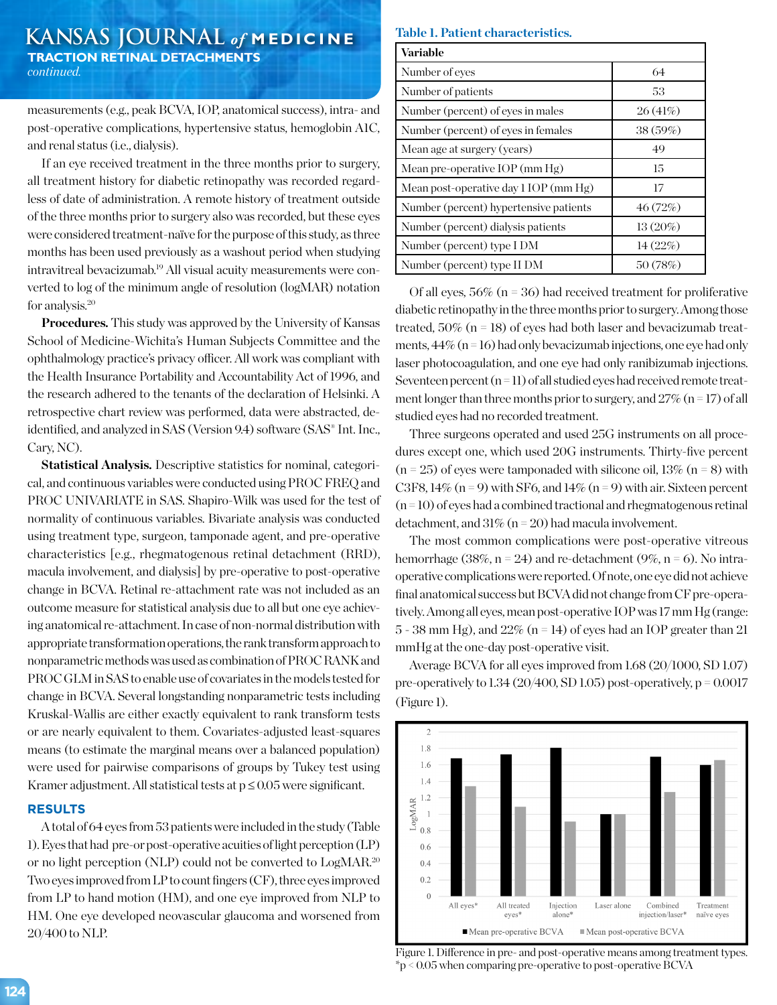## **KANSAS JOURNAL** *of* **MEDICINE TRACTION RETINAL DETACHMENTS** *continued.*

measurements (e.g., peak BCVA, IOP, anatomical success), intra- and post-operative complications, hypertensive status, hemoglobin A1C, and renal status (i.e., dialysis).

If an eye received treatment in the three months prior to surgery, all treatment history for diabetic retinopathy was recorded regardless of date of administration. A remote history of treatment outside of the three months prior to surgery also was recorded, but these eyes were considered treatment-naïve for the purpose of this study, as three months has been used previously as a washout period when studying intravitreal bevacizumab.19 All visual acuity measurements were converted to log of the minimum angle of resolution (logMAR) notation for analysis.20

**Procedures.** This study was approved by the University of Kansas School of Medicine-Wichita's Human Subjects Committee and the ophthalmology practice's privacy officer. All work was compliant with the Health Insurance Portability and Accountability Act of 1996, and the research adhered to the tenants of the declaration of Helsinki. A retrospective chart review was performed, data were abstracted, deidentified, and analyzed in SAS (Version 9.4) software (SAS® Int. Inc., Cary, NC).

**Statistical Analysis.** Descriptive statistics for nominal, categorical, and continuous variables were conducted using PROC FREQ and PROC UNIVARIATE in SAS. Shapiro-Wilk was used for the test of normality of continuous variables. Bivariate analysis was conducted using treatment type, surgeon, tamponade agent, and pre-operative characteristics [e.g., rhegmatogenous retinal detachment (RRD), macula involvement, and dialysis] by pre-operative to post-operative change in BCVA. Retinal re-attachment rate was not included as an outcome measure for statistical analysis due to all but one eye achieving anatomical re-attachment. In case of non-normal distribution with appropriate transformation operations, the rank transform approach to nonparametric methods was used as combination of PROC RANK and PROC GLM in SAS to enable use of covariates in the models tested for change in BCVA. Several longstanding nonparametric tests including Kruskal-Wallis are either exactly equivalent to rank transform tests or are nearly equivalent to them. Covariates-adjusted least-squares means (to estimate the marginal means over a balanced population) were used for pairwise comparisons of groups by Tukey test using Kramer adjustment. All statistical tests at  $p \leq 0.05$  were significant.

#### **RESULTS**

A total of 64 eyes from 53 patients were included in the study (Table 1). Eyes that had pre-or post-operative acuities of light perception (LP) or no light perception (NLP) could not be converted to LogMAR.20 Two eyes improved from LP to count fingers (CF), three eyes improved from LP to hand motion (HM), and one eye improved from NLP to HM. One eye developed neovascular glaucoma and worsened from 20/400 to NLP.

#### **Table 1. Patient characteristics.**

| Variable                               |            |
|----------------------------------------|------------|
| Number of eyes                         | 64         |
| Number of patients                     | 53         |
| Number (percent) of eyes in males      | 26(41%)    |
| Number (percent) of eyes in females    | 38(59%)    |
| Mean age at surgery (years)            | 49         |
| Mean pre-operative IOP (mm $Hg$ )      | 15         |
| Mean post-operative day 1 IOP (mm Hg)  | 17         |
| Number (percent) hypertensive patients | 46(72%)    |
| Number (percent) dialysis patients     | $13(20\%)$ |
| Number (percent) type I DM             | 14(22%)    |
| Number (percent) type II DM            | 50 (78%)   |

Of all eyes,  $56\%$  (n = 36) had received treatment for proliferative diabetic retinopathy in the three months prior to surgery. Among those treated,  $50\%$  (n = 18) of eyes had both laser and bevacizumab treatments,  $44\%$  (n = 16) had only bevacizumab injections, one eye had only laser photocoagulation, and one eye had only ranibizumab injections. Seventeen percent  $(n=11)$  of all studied eyes had received remote treatment longer than three months prior to surgery, and  $27\%$  (n = 17) of all studied eyes had no recorded treatment.

Three surgeons operated and used 25G instruments on all procedures except one, which used 20G instruments. Thirty-five percent  $(n = 25)$  of eyes were tamponaded with silicone oil, 13%  $(n = 8)$  with C3F8,  $14\%$  (n = 9) with SF6, and  $14\%$  (n = 9) with air. Sixteen percent  $(n=10)$  of eyes had a combined tractional and rhegmatogenous retinal detachment, and  $31\%$  (n = 20) had macula involvement.

The most common complications were post-operative vitreous hemorrhage (38%,  $n = 24$ ) and re-detachment (9%,  $n = 6$ ). No intraoperative complications were reported. Of note, one eye did not achieve final anatomical success but BCVA did not change from CF pre-operatively. Among all eyes, mean post-operative IOP was 17 mm Hg (range:  $5 - 38$  mm Hg), and  $22\%$  (n = 14) of eyes had an IOP greater than 21 mmHg at the one-day post-operative visit.

Average BCVA for all eyes improved from 1.68 (20/1000, SD 1.07) pre-operatively to  $1.34$  (20/400, SD 1.05) post-operatively, p = 0.0017 (Figure 1).



Figure 1. Difference in pre- and post-operative means among treatment types. \*p < 0.05 when comparing pre-operative to post-operative BCVA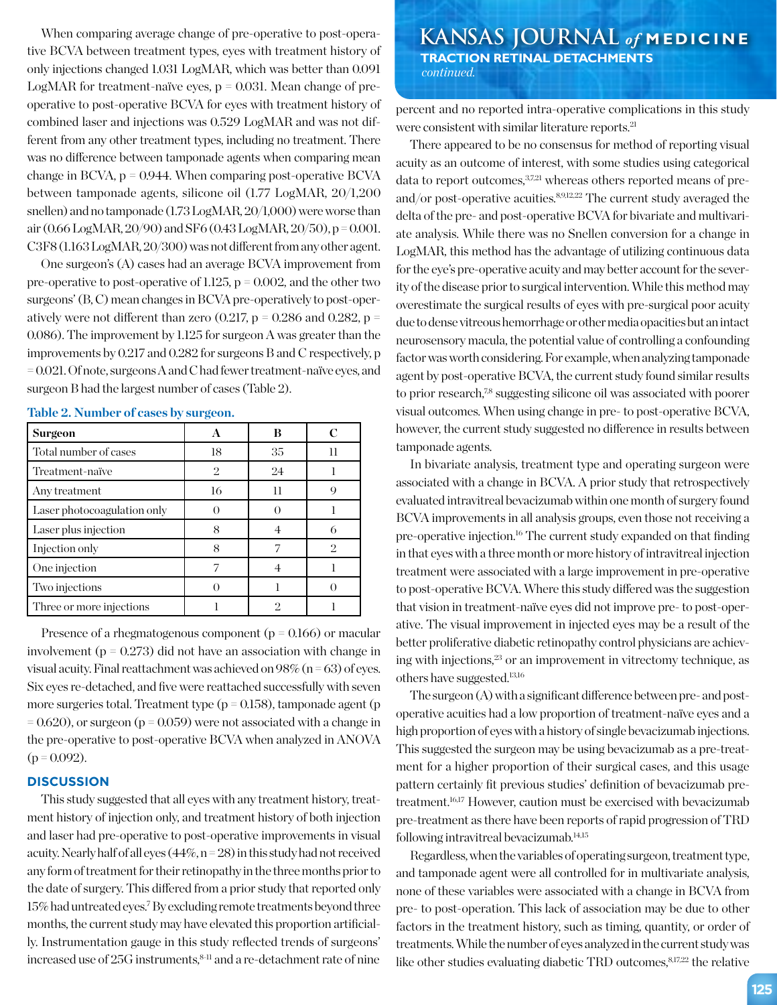When comparing average change of pre-operative to post-operative BCVA between treatment types, eyes with treatment history of only injections changed 1.031 LogMAR, which was better than 0.091 LogMAR for treatment-naïve eyes,  $p = 0.031$ . Mean change of preoperative to post-operative BCVA for eyes with treatment history of combined laser and injections was 0.529 LogMAR and was not different from any other treatment types, including no treatment. There was no difference between tamponade agents when comparing mean change in BCVA,  $p = 0.944$ . When comparing post-operative BCVA between tamponade agents, silicone oil (1.77 LogMAR, 20/1,200 snellen) and no tamponade (1.73 LogMAR, 20/1,000) were worse than air (0.66 LogMAR, 20/90) and SF6 (0.43 LogMAR, 20/50), p = 0.001. C3F8 (1.163 LogMAR, 20/300) was not different from any other agent.

One surgeon's (A) cases had an average BCVA improvement from pre-operative to post-operative of 1.125,  $p = 0.002$ , and the other two surgeons' (B, C) mean changes in BCVA pre-operatively to post-operatively were not different than zero (0.217,  $p = 0.286$  and 0.282,  $p =$ 0.086). The improvement by 1.125 for surgeon A was greater than the improvements by 0.217 and 0.282 for surgeons B and C respectively, p = 0.021. Of note, surgeons A and C had fewer treatment-naïve eyes, and surgeon B had the largest number of cases (Table 2).

| Surgeon                     |                | в        |    |
|-----------------------------|----------------|----------|----|
| Total number of cases       | 18             | 35       | 11 |
| Treatment-naïve             | $\mathfrak{D}$ | 24       |    |
| Any treatment               | 16             | Н        |    |
| Laser photocoagulation only |                |          |    |
| Laser plus injection        | 8              |          |    |
| Injection only              |                |          | 2  |
| One injection               |                |          |    |
| Two injections              |                |          |    |
| Three or more injections    |                | $\Omega$ |    |

**Table 2. Number of cases by surgeon.**

Presence of a rhegmatogenous component ( $p = 0.166$ ) or macular involvement ( $p = 0.273$ ) did not have an association with change in visual acuity. Final reattachment was achieved on  $98\%$  (n = 63) of eyes. Six eyes re-detached, and five were reattached successfully with seven more surgeries total. Treatment type ( $p = 0.158$ ), tamponade agent (p  $= 0.620$ ), or surgeon (p  $= 0.059$ ) were not associated with a change in the pre-operative to post-operative BCVA when analyzed in ANOVA  $(p = 0.092)$ .

#### **DISCUSSION**

This study suggested that all eyes with any treatment history, treatment history of injection only, and treatment history of both injection and laser had pre-operative to post-operative improvements in visual acuity. Nearly half of all eyes  $(44\%, n=28)$  in this study had not received any form of treatment for their retinopathy in the three months prior to the date of surgery. This differed from a prior study that reported only 15% had untreated eyes.7 By excluding remote treatments beyond three months, the current study may have elevated this proportion artificially. Instrumentation gauge in this study reflected trends of surgeons' increased use of 25G instruments, <sup>8-11</sup> and a re-detachment rate of nine

**KANSAS JOURNAL** *of* **MEDICINE TRACTION RETINAL DETACHMENTS**  *continued.*

percent and no reported intra-operative complications in this study were consistent with similar literature reports.<sup>21</sup>

There appeared to be no consensus for method of reporting visual acuity as an outcome of interest, with some studies using categorical data to report outcomes,  $37,21$  whereas others reported means of preand/or post-operative acuities. $89,12,22$  The current study averaged the delta of the pre- and post-operative BCVA for bivariate and multivariate analysis. While there was no Snellen conversion for a change in LogMAR, this method has the advantage of utilizing continuous data for the eye's pre-operative acuity and may better account for the severity of the disease prior to surgical intervention. While this method may overestimate the surgical results of eyes with pre-surgical poor acuity due to dense vitreous hemorrhage or other media opacities but an intact neurosensory macula, the potential value of controlling a confounding factor was worth considering. For example, when analyzing tamponade agent by post-operative BCVA, the current study found similar results to prior research,<sup>7,8</sup> suggesting silicone oil was associated with poorer visual outcomes. When using change in pre- to post-operative BCVA, however, the current study suggested no difference in results between tamponade agents.

In bivariate analysis, treatment type and operating surgeon were associated with a change in BCVA. A prior study that retrospectively evaluated intravitreal bevacizumab within one month of surgery found BCVA improvements in all analysis groups, even those not receiving a pre-operative injection.<sup>16</sup> The current study expanded on that finding in that eyes with a three month or more history of intravitreal injection treatment were associated with a large improvement in pre-operative to post-operative BCVA. Where this study differed was the suggestion that vision in treatment-naïve eyes did not improve pre- to post-operative. The visual improvement in injected eyes may be a result of the better proliferative diabetic retinopathy control physicians are achieving with injections,<sup>23</sup> or an improvement in vitrectomy technique, as others have suggested.13,16

The surgeon (A) with a significant difference between pre- and postoperative acuities had a low proportion of treatment-naïve eyes and a high proportion of eyes with a history of single bevacizumab injections. This suggested the surgeon may be using bevacizumab as a pre-treatment for a higher proportion of their surgical cases, and this usage pattern certainly fit previous studies' definition of bevacizumab pretreatment.<sup>16,17</sup> However, caution must be exercised with bevacizumab pre-treatment as there have been reports of rapid progression of TRD following intravitreal bevacizumab. $14,15$ 

Regardless, when the variables of operating surgeon, treatment type, and tamponade agent were all controlled for in multivariate analysis, none of these variables were associated with a change in BCVA from pre- to post-operation. This lack of association may be due to other factors in the treatment history, such as timing, quantity, or order of treatments. While the number of eyes analyzed in the current study was like other studies evaluating diabetic TRD outcomes, 8,17,22 the relative